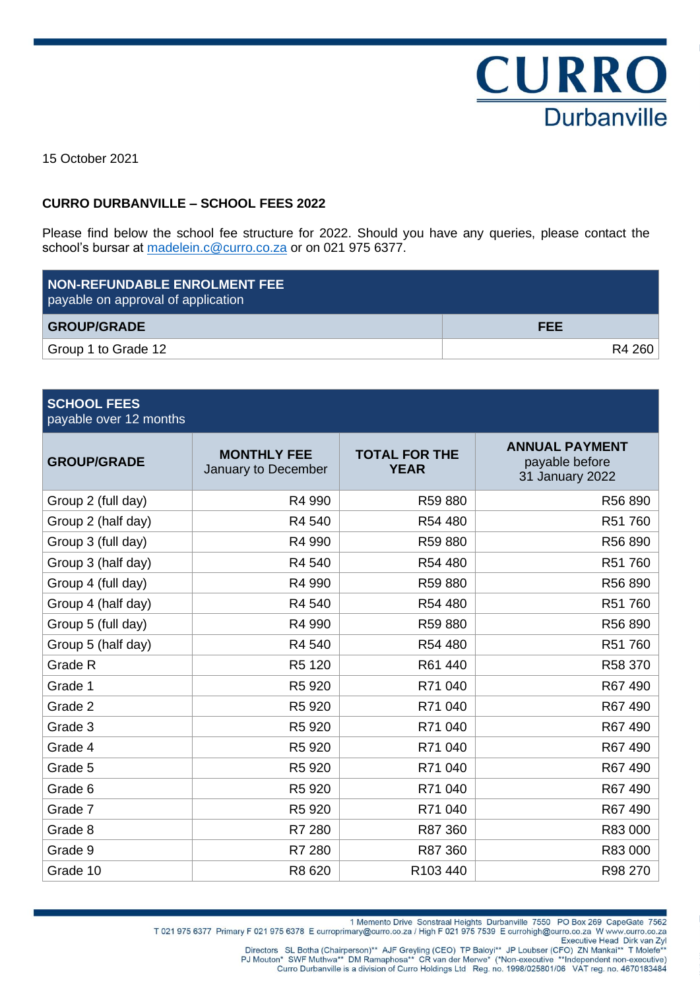

15 October 2021

## **CURRO DURBANVILLE – SCHOOL FEES 2022**

Please find below the school fee structure for 2022. Should you have any queries, please contact the school's bursar at [madelein.c@curro.co.za](mailto:madelein.c@curro.co.za) or on 021 975 6377.

| <b>NON-REFUNDABLE ENROLMENT FEE</b><br>payable on approval of application |            |
|---------------------------------------------------------------------------|------------|
| <b>GROUP/GRADE</b>                                                        | <b>FEE</b> |
| Group 1 to Grade 12                                                       | R4 260     |

| <b>SCHOOL FEES</b><br>payable over 12 months |                                           |                                     |                                                            |
|----------------------------------------------|-------------------------------------------|-------------------------------------|------------------------------------------------------------|
| <b>GROUP/GRADE</b>                           | <b>MONTHLY FEE</b><br>January to December | <b>TOTAL FOR THE</b><br><b>YEAR</b> | <b>ANNUAL PAYMENT</b><br>payable before<br>31 January 2022 |
| Group 2 (full day)                           | R4 990                                    | R59 880                             | R56 890                                                    |
| Group 2 (half day)                           | R4 540                                    | R54 480                             | R51 760                                                    |
| Group 3 (full day)                           | R4 990                                    | R59 880                             | R56 890                                                    |
| Group 3 (half day)                           | R4 540                                    | R54 480                             | R51 760                                                    |
| Group 4 (full day)                           | R4 990                                    | R59 880                             | R56 890                                                    |
| Group 4 (half day)                           | R4 540                                    | R54 480                             | R51 760                                                    |
| Group 5 (full day)                           | R4 990                                    | R59 880                             | R56 890                                                    |
| Group 5 (half day)                           | R4 540                                    | R54 480                             | R51 760                                                    |
| Grade R                                      | R5 120                                    | R61 440                             | R58 370                                                    |
| Grade 1                                      | R5 920                                    | R71 040                             | R67 490                                                    |
| Grade 2                                      | R5 920                                    | R71 040                             | R67 490                                                    |
| Grade 3                                      | R5 920                                    | R71 040                             | R67 490                                                    |
| Grade 4                                      | R5 920                                    | R71 040                             | R67 490                                                    |
| Grade 5                                      | R5 920                                    | R71 040                             | R67 490                                                    |
| Grade 6                                      | R5 920                                    | R71 040                             | R67 490                                                    |
| Grade 7                                      | R5 920                                    | R71 040                             | R67 490                                                    |
| Grade 8                                      | R7 280                                    | R87 360                             | R83 000                                                    |
| Grade 9                                      | R7 280                                    | R87 360                             | R83 000                                                    |
| Grade 10                                     | R8 620                                    | R103 440                            | R98 270                                                    |

1 Memento Drive Sonstraal Heights Durbanville 7550 PO Box 269 CapeGate 7562<br>T 021 975 6377 Primary F 021 975 6378 E curroprimary@curro.co.za / High F 021 975 7539 E currohigh@curro.co.za

Executive Head Dirk van Zyl<br>"Directors SL Botha (Chairperson)\*\* AJF Greyling (CEO) TP Baloyi\*\* JP Loubser (CFO) ZN Mankai\*\* T Molefe\*\*<br>"PJ Mouton\* SWF Muthwa\*\* DM Ramaphosa\*\* CR van der Merwe\* (\*Non-executive \*\*Independent Curro Durbanville is a division of Curro Holdings Ltd Reg. no. 1998/025801/06 VAT reg. no. 4670183484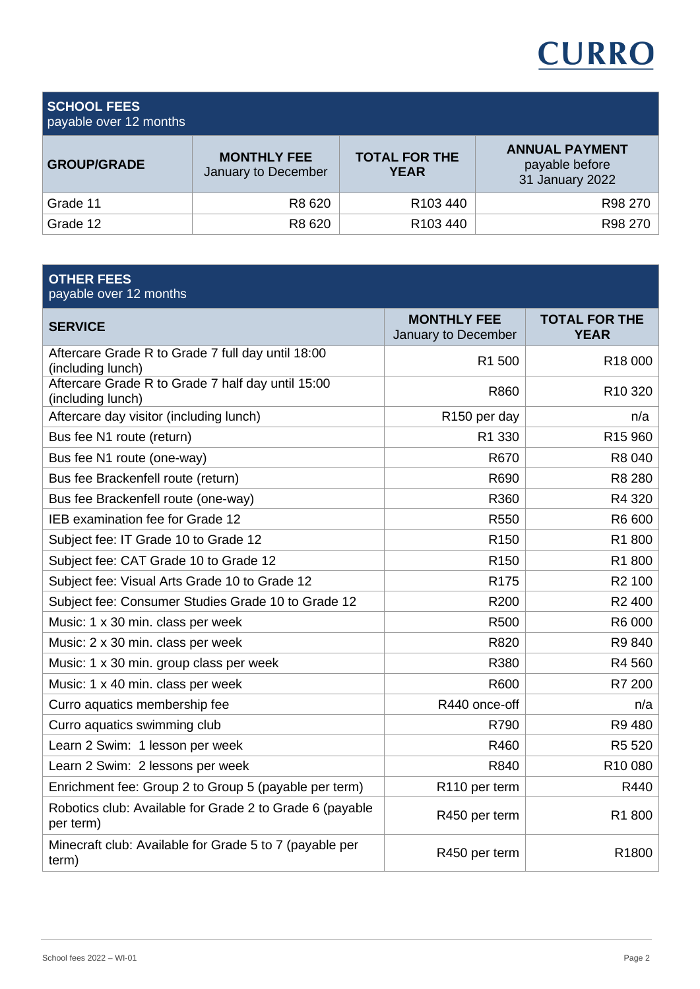

**SCHOOL FEES**

| payable over 12 months |  |  |  |
|------------------------|--|--|--|
|------------------------|--|--|--|

| <b>GROUP/GRADE</b> | <b>MONTHLY FEE</b><br>January to December | <b>TOTAL FOR THE</b><br><b>YEAR</b> | <b>ANNUAL PAYMENT</b><br>payable before<br>31 January 2022 |
|--------------------|-------------------------------------------|-------------------------------------|------------------------------------------------------------|
| Grade 11           | R8 620                                    | R <sub>103</sub> 440                | R98 270                                                    |
| Grade 12           | R8 620                                    | R <sub>103</sub> 440                | R98 270                                                    |

| <b>OTHER FEES</b><br>payable over 12 months                            |                                           |                                     |
|------------------------------------------------------------------------|-------------------------------------------|-------------------------------------|
| <b>SERVICE</b>                                                         | <b>MONTHLY FEE</b><br>January to December | <b>TOTAL FOR THE</b><br><b>YEAR</b> |
| Aftercare Grade R to Grade 7 full day until 18:00<br>(including lunch) | R1 500                                    | R <sub>18</sub> 000                 |
| Aftercare Grade R to Grade 7 half day until 15:00<br>(including lunch) | R860                                      | R <sub>10</sub> 320                 |
| Aftercare day visitor (including lunch)                                | R150 per day                              | n/a                                 |
| Bus fee N1 route (return)                                              | R1 330                                    | R <sub>15</sub> 960                 |
| Bus fee N1 route (one-way)                                             | R670                                      | R8 040                              |
| Bus fee Brackenfell route (return)                                     | R690                                      | R8 280                              |
| Bus fee Brackenfell route (one-way)                                    | R360                                      | R4 320                              |
| IEB examination fee for Grade 12                                       | R <sub>550</sub>                          | R6 600                              |
| Subject fee: IT Grade 10 to Grade 12                                   | R <sub>150</sub>                          | R1800                               |
| Subject fee: CAT Grade 10 to Grade 12                                  | R <sub>150</sub>                          | R1800                               |
| Subject fee: Visual Arts Grade 10 to Grade 12                          | R <sub>175</sub>                          | R <sub>2</sub> 100                  |
| Subject fee: Consumer Studies Grade 10 to Grade 12                     | R200                                      | R <sub>2</sub> 400                  |
| Music: 1 x 30 min. class per week                                      | R500                                      | R6 000                              |
| Music: 2 x 30 min. class per week                                      | R820                                      | R9840                               |
| Music: 1 x 30 min. group class per week                                | R380                                      | R4 560                              |
| Music: 1 x 40 min. class per week                                      | R600                                      | R7 200                              |
| Curro aquatics membership fee                                          | R440 once-off                             | n/a                                 |
| Curro aquatics swimming club                                           | R790                                      | R9 480                              |
| Learn 2 Swim: 1 lesson per week                                        | R460                                      | R5 520                              |
| Learn 2 Swim: 2 lessons per week                                       | R840                                      | R10 080                             |
| Enrichment fee: Group 2 to Group 5 (payable per term)                  | R110 per term                             | R440                                |
| Robotics club: Available for Grade 2 to Grade 6 (payable<br>per term)  | R450 per term                             | R1800                               |
| Minecraft club: Available for Grade 5 to 7 (payable per<br>term)       | R450 per term                             | R1800                               |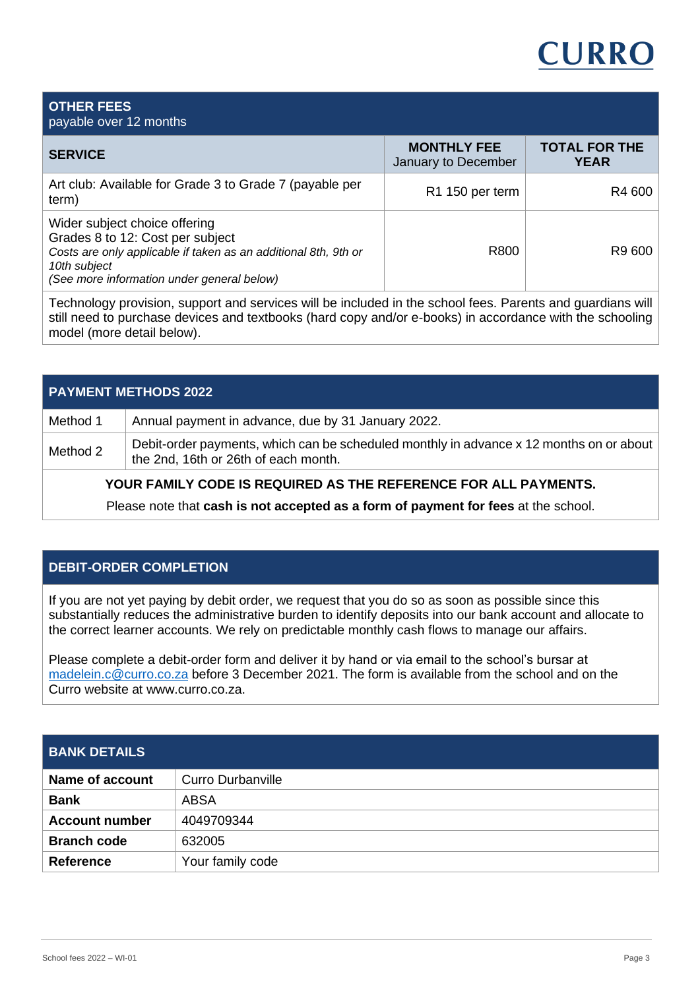# CURRC

#### **OTHER FEES** payable over 12 months **SERVICE MONTHLY FEE** January to December **TOTAL FOR THE YEAR**  Art club: Available for Grade 3 to Grade 7 (payable per  $\qquad \qquad \text{R1 150 per term} \qquad \qquad \text{R4 600}$ Wider subject choice offering Grades 8 to 12: Cost per subject *Costs are only applicable if taken as an additional 8th, 9th or 10th subject (See more information under general below)* R800 R9 600 Technology provision, support and services will be included in the school fees. Parents and guardians will

still need to purchase devices and textbooks (hard copy and/or e-books) in accordance with the schooling model (more detail below).

| <b>PAYMENT METHODS 2022</b> |                                                                                                                                 |  |  |
|-----------------------------|---------------------------------------------------------------------------------------------------------------------------------|--|--|
| Method 1                    | Annual payment in advance, due by 31 January 2022.                                                                              |  |  |
| Method 2                    | Debit-order payments, which can be scheduled monthly in advance x 12 months on or about<br>the 2nd, 16th or 26th of each month. |  |  |

# **YOUR FAMILY CODE IS REQUIRED AS THE REFERENCE FOR ALL PAYMENTS.**

Please note that **cash is not accepted as a form of payment for fees** at the school.

# **DEBIT-ORDER COMPLETION**

If you are not yet paying by debit order, we request that you do so as soon as possible since this substantially reduces the administrative burden to identify deposits into our bank account and allocate to the correct learner accounts. We rely on predictable monthly cash flows to manage our affairs.

Please complete a debit-order form and deliver it by hand or via email to the school's bursar at [madelein.c@curro.co.za](mailto:madelein.c@curro.co.za) before 3 December 2021. The form is available from the school and on the Curro website at www.curro.co.za.

# **BANK DETAILS**

| Name of account       | Curro Durbanville |
|-----------------------|-------------------|
| <b>Bank</b>           | ABSA              |
| <b>Account number</b> | 4049709344        |
| <b>Branch code</b>    | 632005            |
| <b>Reference</b>      | Your family code  |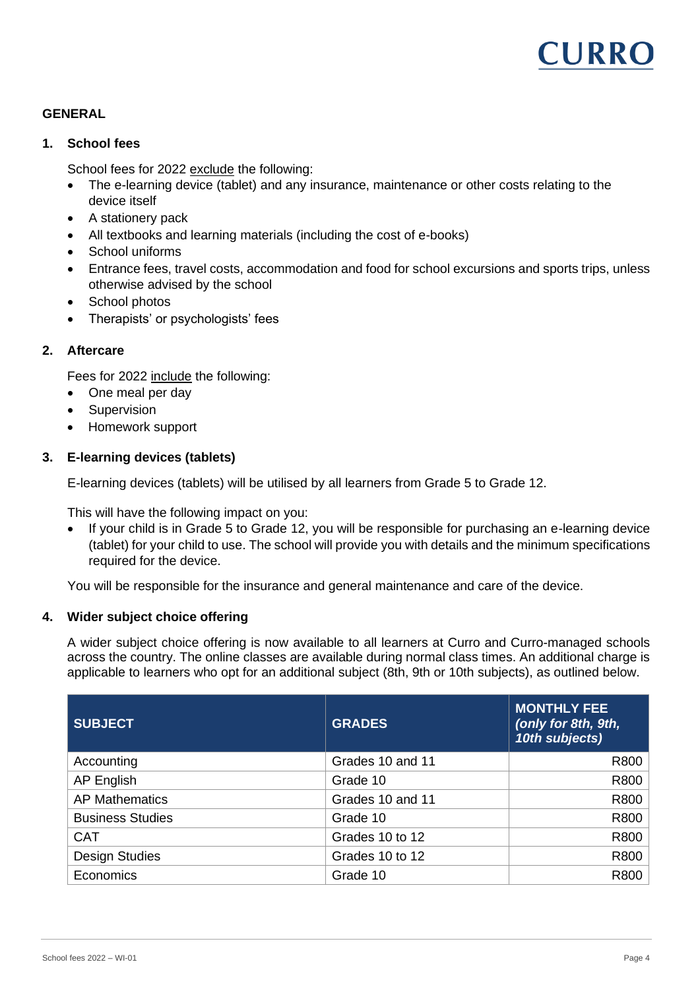

# **GENERAL**

#### **1. School fees**

School fees for 2022 exclude the following:

- The e-learning device (tablet) and any insurance, maintenance or other costs relating to the device itself
- A stationery pack
- All textbooks and learning materials (including the cost of e-books)
- School uniforms
- Entrance fees, travel costs, accommodation and food for school excursions and sports trips, unless otherwise advised by the school
- School photos
- Therapists' or psychologists' fees

#### **2. Aftercare**

Fees for 2022 include the following:

- One meal per day
- Supervision
- Homework support

# **3. E-learning devices (tablets)**

E-learning devices (tablets) will be utilised by all learners from Grade 5 to Grade 12.

This will have the following impact on you:

• If your child is in Grade 5 to Grade 12, you will be responsible for purchasing an e-learning device (tablet) for your child to use. The school will provide you with details and the minimum specifications required for the device.

You will be responsible for the insurance and general maintenance and care of the device.

#### **4. Wider subject choice offering**

A wider subject choice offering is now available to all learners at Curro and Curro-managed schools across the country. The online classes are available during normal class times. An additional charge is applicable to learners who opt for an additional subject (8th, 9th or 10th subjects), as outlined below.

| <b>SUBJECT</b>          | <b>GRADES</b>    | <b>MONTHLY FEE</b><br>(only for 8th, 9th,<br>10th subjects) |
|-------------------------|------------------|-------------------------------------------------------------|
| Accounting              | Grades 10 and 11 | R800                                                        |
| AP English              | Grade 10         | R800                                                        |
| <b>AP Mathematics</b>   | Grades 10 and 11 | R800                                                        |
| <b>Business Studies</b> | Grade 10         | R800                                                        |
| <b>CAT</b>              | Grades 10 to 12  | R800                                                        |
| <b>Design Studies</b>   | Grades 10 to 12  | R800                                                        |
| Economics               | Grade 10         | R800                                                        |